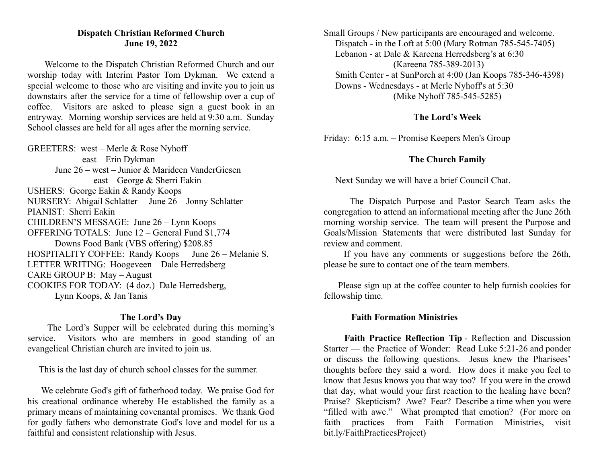### **Dispatch Christian Reformed Church June 19, 2022**

Welcome to the Dispatch Christian Reformed Church and our worship today with Interim Pastor Tom Dykman. We extend a special welcome to those who are visiting and invite you to join us downstairs after the service for a time of fellowship over a cup of coffee. Visitors are asked to please sign a guest book in an entryway. Morning worship services are held at 9:30 a.m. Sunday School classes are held for all ages after the morning service.

GREETERS: west – Merle & Rose Nyhoff east – Erin Dykman June 26 – west – Junior & Marideen VanderGiesen east – George & Sherri Eakin USHERS: George Eakin & Randy Koops NURSERY: Abigail Schlatter June 26 – Jonny Schlatter PIANIST: Sherri Eakin CHILDREN'S MESSAGE: June 26 – Lynn Koops OFFERING TOTALS: June 12 – General Fund \$1,774 Downs Food Bank (VBS offering) \$208.85 HOSPITALITY COFFEE: Randy Koops June 26 – Melanie S. LETTER WRITING: Hoogeveen – Dale Herredsberg CARE GROUP B: May – August COOKIES FOR TODAY: (4 doz.) Dale Herredsberg, Lynn Koops, & Jan Tanis

### **The Lord's Day**

The Lord's Supper will be celebrated during this morning's service. Visitors who are members in good standing of an evangelical Christian church are invited to join us.

This is the last day of church school classes for the summer.

We celebrate God's gift of fatherhood today. We praise God for his creational ordinance whereby He established the family as a primary means of maintaining covenantal promises. We thank God for godly fathers who demonstrate God's love and model for us a faithful and consistent relationship with Jesus.

Small Groups / New participants are encouraged and welcome. Dispatch - in the Loft at 5:00 (Mary Rotman 785-545-7405) Lebanon - at Dale & Kareena Herredsberg's at 6:30 (Kareena 785-389-2013) Smith Center - at SunPorch at 4:00 (Jan Koops 785-346-4398) Downs - Wednesdays - at Merle Nyhoff's at 5:30 (Mike Nyhoff 785-545-5285)

## **The Lord's Week**

Friday: 6:15 a.m. – Promise Keepers Men's Group

# **The Church Family**

Next Sunday we will have a brief Council Chat.

The Dispatch Purpose and Pastor Search Team asks the congregation to attend an informational meeting after the June 26th morning worship service. The team will present the Purpose and Goals/Mission Statements that were distributed last Sunday for review and comment.

If you have any comments or suggestions before the 26th, please be sure to contact one of the team members.

Please sign up at the coffee counter to help furnish cookies for fellowship time.

### **Faith Formation Ministries**

**Faith Practice Reflection Tip** - Reflection and Discussion Starter — the Practice of Wonder: Read Luke 5:21-26 and ponder or discuss the following questions. Jesus knew the Pharisees' thoughts before they said a word. How does it make you feel to know that Jesus knows you that way too? If you were in the crowd that day, what would your first reaction to the healing have been? Praise? Skepticism? Awe? Fear? Describe a time when you were "filled with awe." What prompted that emotion? (For more on faith practices from Faith Formation Ministries, visit bit.ly/FaithPracticesProject)